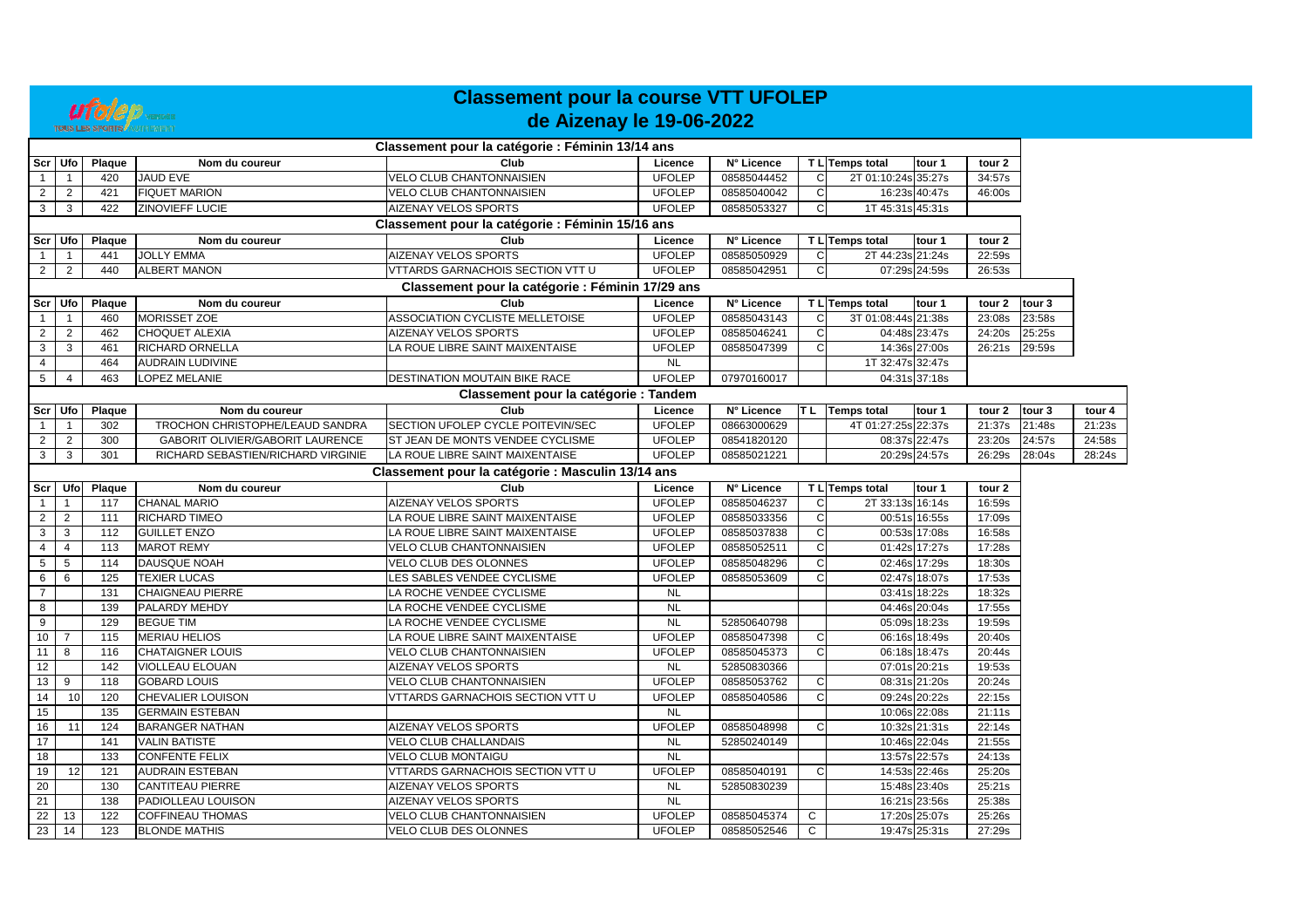

## **Classement pour la course VTT UFOLEP de Aizenay le 19-06-2022**

|                 |                |        |                                    | Classement pour la catégorie : Féminin 13/14 ans  |               |             |              |                     |               |                   |                   |        |
|-----------------|----------------|--------|------------------------------------|---------------------------------------------------|---------------|-------------|--------------|---------------------|---------------|-------------------|-------------------|--------|
|                 | Scr   Ufo      | Plaque | Nom du coureur                     | Club                                              | Licence       | N° Licence  |              | T L Temps total     | tour 1        | tour 2            |                   |        |
|                 | $\mathbf{1}$   | 420    | <b>JAUD EVE</b>                    | <b>VELO CLUB CHANTONNAISIEN</b>                   | <b>UFOLEP</b> | 08585044452 | C            | 2T 01:10:24s 35:27s |               | 34:57s            |                   |        |
| 2               | $\overline{2}$ | 421    | <b>FIQUET MARION</b>               | <b>VELO CLUB CHANTONNAISIEN</b>                   | <b>UFOLEP</b> | 08585040042 | C            |                     | 16:23s 40:47s | 46:00s            |                   |        |
| 3               | 3              | 422    | <b>ZINOVIEFF LUCIE</b>             | AIZENAY VELOS SPORTS                              | <b>UFOLEP</b> | 08585053327 | $\mathsf{C}$ | 1T 45:31s 45:31s    |               |                   |                   |        |
|                 |                |        |                                    | Classement pour la catégorie : Féminin 15/16 ans  |               |             |              |                     |               |                   |                   |        |
|                 | Scr Ufo        | Plaque | Nom du coureur                     | Club                                              | Licence       | N° Licence  |              | T L Temps total     | tour 1        | tour <sub>2</sub> |                   |        |
| $\overline{1}$  | $\overline{1}$ | 441    | <b>JOLLY EMMA</b>                  | <b>AIZENAY VELOS SPORTS</b>                       | <b>UFOLEP</b> | 08585050929 | C            | 2T 44:23s 21:24s    |               | 22:59s            |                   |        |
| $\overline{2}$  | $\overline{2}$ | 440    | <b>ALBERT MANON</b>                | VTTARDS GARNACHOIS SECTION VTT U                  | <b>UFOLEP</b> | 08585042951 | C            |                     | 07:29s 24:59s | 26:53s            |                   |        |
|                 |                |        |                                    | Classement pour la catégorie : Féminin 17/29 ans  |               |             |              |                     |               |                   |                   |        |
|                 | Scr Ufo        | Plaque | Nom du coureur                     | Club                                              | Licence       | N° Licence  |              | T L Temps total     | tour 1        | tour 2            | tour 3            |        |
|                 |                | 460    | MORISSET ZOE                       | <b>ASSOCIATION CYCLISTE MELLETOISE</b>            | <b>UFOLEP</b> | 08585043143 | C            | 3T 01:08:44s 21:38s |               | 23:08s            | 23:58s            |        |
| $\overline{2}$  | $\overline{2}$ | 462    | <b>CHOQUET ALEXIA</b>              | AIZENAY VELOS SPORTS                              | <b>UFOLEP</b> | 08585046241 | $\mathsf{C}$ |                     | 04:48s 23:47s | 24:20s            | 25:25s            |        |
| 3               | 3              | 461    | RICHARD ORNELLA                    | LA ROUE LIBRE SAINT MAIXENTAISE                   | <b>UFOLEP</b> | 08585047399 | C            |                     | 14:36s 27:00s | 26:21s            | 29:59s            |        |
| 4               |                | 464    | <b>AUDRAIN LUDIVINE</b>            |                                                   | <b>NL</b>     |             |              | 1T 32:47s 32:47s    |               |                   |                   |        |
| 5               | $\overline{4}$ | 463    | LOPEZ MELANIE                      | DESTINATION MOUTAIN BIKE RACE                     | <b>UFOLEP</b> | 07970160017 |              |                     | 04:31s 37:18s |                   |                   |        |
|                 |                |        |                                    | Classement pour la catégorie : Tandem             |               |             |              |                     |               |                   |                   |        |
|                 | Scr Ufo        | Plaque | Nom du coureur                     | Club                                              | Licence       | N° Licence  |              | T L Temps total     | tour 1        | tour 2            | tour <sub>3</sub> | tour 4 |
|                 | $\mathbf{1}$   | 302    | TROCHON CHRISTOPHE/LEAUD SANDRA    | SECTION UFOLEP CYCLE POITEVIN/SEC                 | <b>UFOLEP</b> | 08663000629 |              | 4T 01:27:25s 22:37s |               | 21:37s            | 21:48s            | 21:23s |
| $\overline{2}$  | 2              | 300    | GABORIT OLIVIER/GABORIT LAURENCE   | ST JEAN DE MONTS VENDEE CYCLISME                  | <b>UFOLEP</b> | 08541820120 |              |                     | 08:37s 22:47s | 23:20s            | 24:57s            | 24:58s |
| 3               | 3              | 301    | RICHARD SEBASTIEN/RICHARD VIRGINIE | LA ROUE LIBRE SAINT MAIXENTAISE                   | <b>UFOLEP</b> | 08585021221 |              |                     | 20:29s 24:57s | 26:29s            | 28:04s            | 28:24s |
|                 |                |        |                                    | Classement pour la catégorie : Masculin 13/14 ans |               |             |              |                     |               |                   |                   |        |
| Scr             | Ufol           | Plaque | Nom du coureur                     | Club                                              | Licence       | N° Licence  |              | T L Temps total     | tour 1        | tour 2            |                   |        |
| $\overline{1}$  | $\overline{1}$ | 117    | <b>CHANAL MARIO</b>                | AIZENAY VELOS SPORTS                              | <b>UFOLEP</b> | 08585046237 | C            | 2T 33:13s 16:14s    |               | 16:59s            |                   |        |
| $\overline{2}$  | $\overline{2}$ | 111    | RICHARD TIMEO                      | LA ROUE LIBRE SAINT MAIXENTAISE                   | <b>UFOLEP</b> | 08585033356 | $\mathsf{C}$ |                     | 00:51s 16:55s | 17:09s            |                   |        |
| 3               | 3              | 112    | <b>GUILLET ENZO</b>                | LA ROUE LIBRE SAINT MAIXENTAISE                   | <b>UFOLEP</b> | 08585037838 | C            |                     | 00:53s 17:08s | 16:58s            |                   |        |
| $\overline{4}$  | 4              | 113    | <b>MAROT REMY</b>                  | <b>VELO CLUB CHANTONNAISIEN</b>                   | <b>UFOLEP</b> | 08585052511 | $\mathsf{C}$ |                     | 01:42s 17:27s | 17:28s            |                   |        |
| 5 <sub>5</sub>  | 5              | 114    | DAUSQUE NOAH                       | VELO CLUB DES OLONNES                             | <b>UFOLEP</b> | 08585048296 | C            |                     | 02:46s 17:29s | 18:30s            |                   |        |
| 6               | 6              | 125    | <b>TEXIER LUCAS</b>                | LES SABLES VENDEE CYCLISME                        | <b>UFOLEP</b> | 08585053609 | C            |                     | 02:47s 18:07s | 17:53s            |                   |        |
| $\overline{7}$  |                | 131    | <b>CHAIGNEAU PIERRE</b>            | LA ROCHE VENDEE CYCLISME                          | <b>NL</b>     |             |              |                     | 03:41s 18:22s | 18:32s            |                   |        |
| 8               |                | 139    | PALARDY MEHDY                      | LA ROCHE VENDEE CYCLISME                          | <b>NL</b>     |             |              |                     | 04:46s 20:04s | 17:55s            |                   |        |
| $\overline{9}$  |                | 129    | <b>BEGUE TIM</b>                   | LA ROCHE VENDEE CYCLISME                          | <b>NL</b>     | 52850640798 |              |                     | 05:09s 18:23s | 19:59s            |                   |        |
| 10 <sup>1</sup> | 7              | 115    | <b>MERIAU HELIOS</b>               | LA ROUE LIBRE SAINT MAIXENTAISE                   | <b>UFOLEP</b> | 08585047398 | C            |                     | 06:16s 18:49s | 20:40s            |                   |        |
| 11              | 8              | 116    | <b>CHATAIGNER LOUIS</b>            | VELO CLUB CHANTONNAISIEN                          | <b>UFOLEP</b> | 08585045373 | C            |                     | 06:18s 18:47s | 20:44s            |                   |        |
| 12              |                | 142    | <b>VIOLLEAU ELOUAN</b>             | AIZENAY VELOS SPORTS                              | <b>NL</b>     | 52850830366 |              |                     | 07:01s 20:21s | 19:53s            |                   |        |
| 13              | 9              | 118    | <b>GOBARD LOUIS</b>                | VELO CLUB CHANTONNAISIEN                          | <b>UFOLEP</b> | 08585053762 | C            |                     | 08:31s 21:20s | 20:24s            |                   |        |
| 14              | 10             | 120    | <b>CHEVALIER LOUISON</b>           | VTTARDS GARNACHOIS SECTION VTT U                  | <b>UFOLEP</b> | 08585040586 | $\mathsf{C}$ |                     | 09:24s 20:22s | 22:15s            |                   |        |
| 15              |                | 135    | <b>GERMAIN ESTEBAN</b>             |                                                   | <b>NL</b>     |             |              |                     | 10:06s 22:08s | 21:11s            |                   |        |
| 16              | 11             | 124    | <b>BARANGER NATHAN</b>             | AIZENAY VELOS SPORTS                              | <b>UFOLEP</b> | 08585048998 | C            |                     | 10:32s 21:31s | 22:14s            |                   |        |
| 17              |                | 141    | <b>VALIN BATISTE</b>               | VELO CLUB CHALLANDAIS                             | <b>NL</b>     | 52850240149 |              |                     | 10:46s 22:04s | 21:55s            |                   |        |
| 18              |                | 133    | <b>CONFENTE FELIX</b>              | <b>VELO CLUB MONTAIGU</b>                         | <b>NL</b>     |             |              |                     | 13:57s 22:57s | 24:13s            |                   |        |
| 19              | 12             | 121    | <b>AUDRAIN ESTEBAN</b>             | VTTARDS GARNACHOIS SECTION VTT U                  | <b>UFOLEP</b> | 08585040191 | $\mathsf{C}$ |                     | 14:53s 22:46s | 25:20s            |                   |        |
| 20              |                | 130    | <b>CANTITEAU PIERRE</b>            | AIZENAY VELOS SPORTS                              | <b>NL</b>     | 52850830239 |              |                     | 15:48s 23:40s | 25:21s            |                   |        |
| 21              |                | 138    | PADIOLLEAU LOUISON                 | AIZENAY VELOS SPORTS                              | <b>NL</b>     |             |              |                     | 16:21s 23:56s | 25:38s            |                   |        |
| $\overline{22}$ | 13             | 122    | <b>COFFINEAU THOMAS</b>            | VELO CLUB CHANTONNAISIEN                          | <b>UFOLEP</b> | 08585045374 | C            |                     | 17:20s 25:07s | 25:26s            |                   |        |
| 23              | 14             | 123    | <b>BLONDE MATHIS</b>               | VELO CLUB DES OLONNES                             | <b>UFOLEP</b> | 08585052546 | $\mathsf{C}$ |                     | 19:47s 25:31s | 27:29s            |                   |        |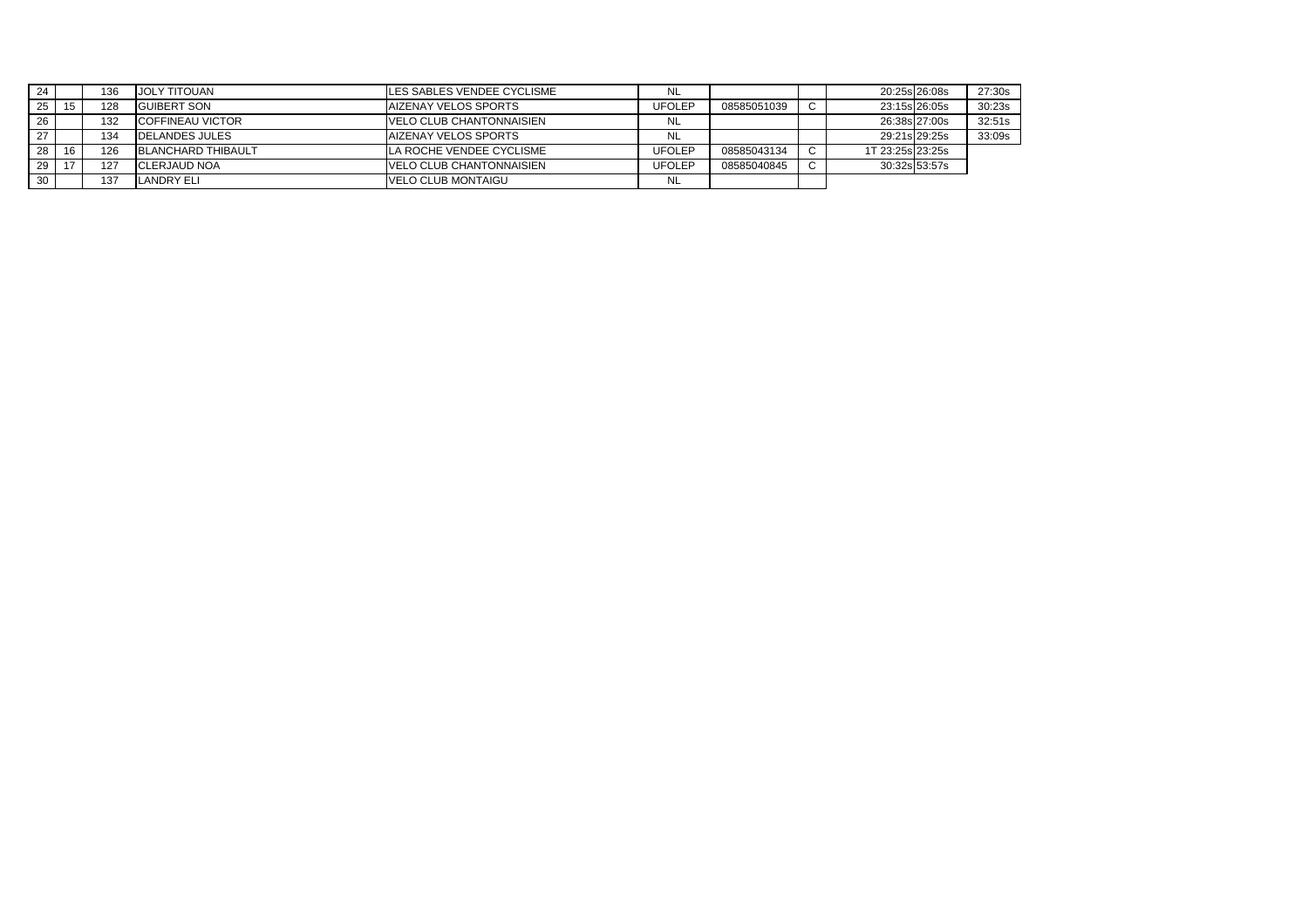| 24 |                | 136 | JOLY TITOUAN              | LES SABLES VENDEE CYCLISME       | NL            |             | 20:25s 26:08s    | 27:30s |
|----|----------------|-----|---------------------------|----------------------------------|---------------|-------------|------------------|--------|
| 25 | 15             | 128 | <b>GUIBERT SON</b>        | <b>AIZENAY VELOS SPORTS</b>      | <b>UFOLEP</b> | 08585051039 | 23:15s 26:05s    | 30:23s |
| 26 |                | 132 | <b>COFFINEAU VICTOR</b>   | <b>VELO CLUB CHANTONNAISIEN</b>  | NL            |             | 26:38s 27:00s    | 32:51s |
|    |                | 134 | <b>DELANDES JULES</b>     | <b>AIZENAY VELOS SPORTS</b>      | NL            |             | 29:21s 29:25s    | 33:09s |
| 28 | 16             | 126 | <b>BLANCHARD THIBAULT</b> | LA ROCHE VENDEE CYCLISME         | <b>UFOLEP</b> | 08585043134 | 1T 23:25s 23:25s |        |
| 29 | $\overline{a}$ | 127 | CLERJAUD NOA              | <b>IVELO CLUB CHANTONNAISIEN</b> | <b>UFOLEP</b> | 08585040845 | 30:32s 53:57s    |        |
| 30 |                | 137 | LANDRY ELI                | VELO CLUB MONTAIGU               | NL            |             |                  |        |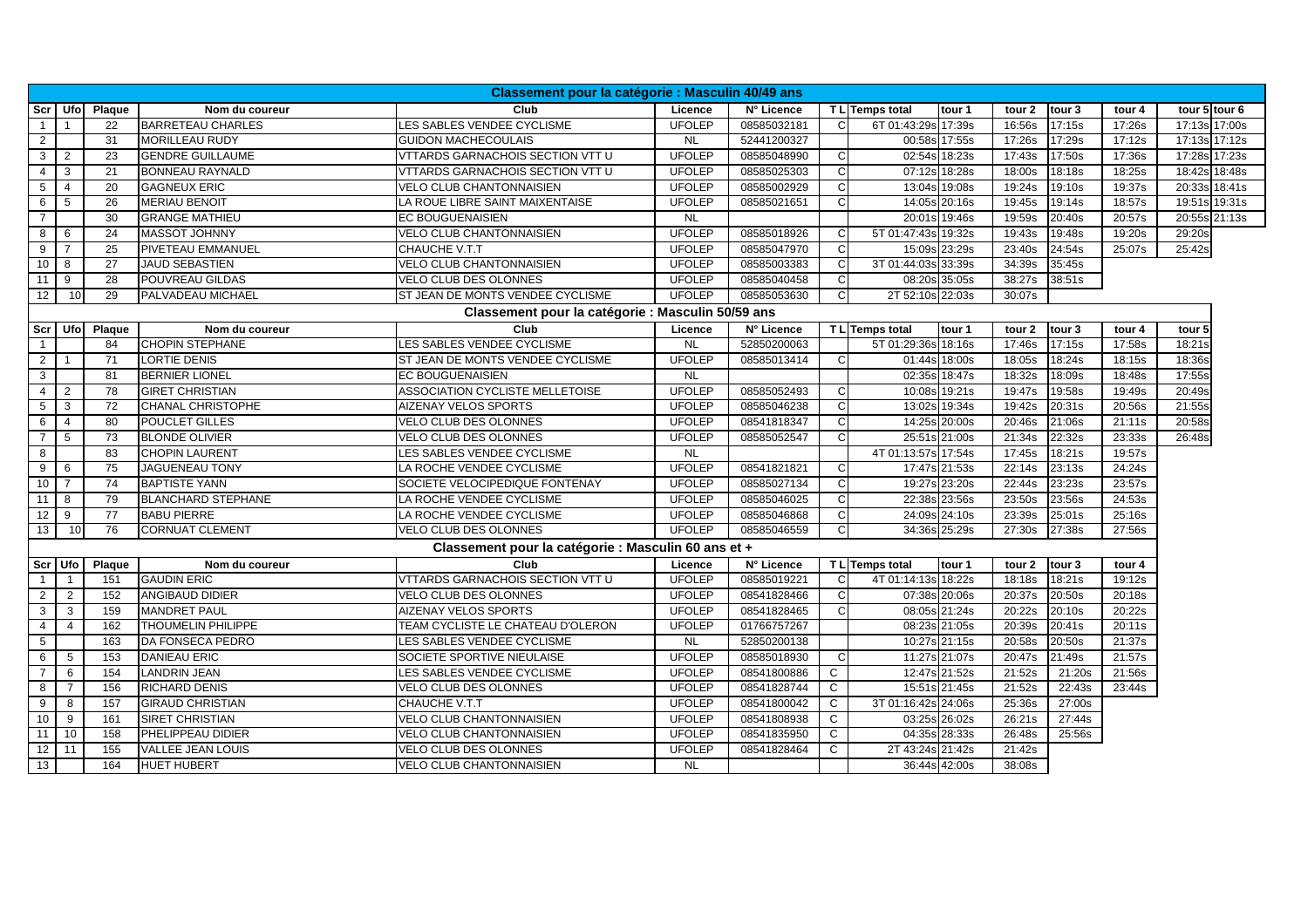|                 | Classement pour la catégorie : Masculin 40/49 ans |                 |                           |                                                     |               |             |              |                     |               |        |        |        |                   |
|-----------------|---------------------------------------------------|-----------------|---------------------------|-----------------------------------------------------|---------------|-------------|--------------|---------------------|---------------|--------|--------|--------|-------------------|
| Scr             |                                                   | Ufol Plaque     | Nom du coureur            | Club                                                | Licence       | N° Licence  |              | T L Temps total     | tour 1        | tour 2 | tour 3 | tour 4 | tour 5 tour 6     |
|                 |                                                   | 22              | <b>BARRETEAU CHARLES</b>  | LES SABLES VENDEE CYCLISME                          | <b>UFOLEP</b> | 08585032181 | C            | 6T 01:43:29s 17:39s |               | 16:56s | 17:15s | 17:26s | 17:13s 17:00s     |
| $\overline{2}$  |                                                   | 31              | <b>MORILLEAU RUDY</b>     | <b>GUIDON MACHECOULAIS</b>                          | <b>NL</b>     | 52441200327 |              |                     | 00:58s 17:55s | 17:26s | 17:29s | 17:12s | 17:13s 17:12s     |
| $\mathbf{3}$    | $\overline{2}$                                    | 23              | <b>GENDRE GUILLAUME</b>   | VTTARDS GARNACHOIS SECTION VTT U                    | <b>UFOLEP</b> | 08585048990 | <sub>C</sub> |                     | 02:54s 18:23s | 17:43s | 17:50s | 17:36s | 17:28s 17:23s     |
| $\overline{4}$  | 3                                                 | 21              | <b>BONNEAU RAYNALD</b>    | VTTARDS GARNACHOIS SECTION VTT U                    | <b>UFOLEP</b> | 08585025303 | C            |                     | 07:12s 18:28s | 18:00s | 18:18s | 18:25s | 18:42s 18:48s     |
| 5               | $\overline{4}$                                    | 20              | <b>GAGNEUX ERIC</b>       | <b>VELO CLUB CHANTONNAISIEN</b>                     | <b>UFOLEP</b> | 08585002929 | C            |                     | 13:04s 19:08s | 19:24s | 19:10s | 19:37s | 20:33s 18:41s     |
| 6               | 5                                                 | 26              | <b>MERIAU BENOIT</b>      | LA ROUE LIBRE SAINT MAIXENTAISE                     | <b>UFOLEP</b> | 08585021651 | C            |                     | 14:05s 20:16s | 19:45s | 19:14s | 18:57s | 19:51s 19:31s     |
| $\overline{7}$  |                                                   | 30              | <b>GRANGE MATHIEU</b>     | <b>EC BOUGUENAISIEN</b>                             | <b>NL</b>     |             |              |                     | 20:01s 19:46s | 19:59s | 20:40s | 20:57s | 20:55s 21:13s     |
| 8               | 6                                                 | 24              | <b>MASSOT JOHNNY</b>      | <b>VELO CLUB CHANTONNAISIEN</b>                     | <b>UFOLEP</b> | 08585018926 |              | 5T 01:47:43s 19:32s |               | 19:43s | 19:48s | 19:20s | 29:20s            |
| 9               | $\overline{7}$                                    | 25              | <b>PIVETEAU EMMANUEL</b>  | CHAUCHE V.T.T                                       | <b>UFOLEP</b> | 08585047970 | C            |                     | 15:09s 23:29s | 23:40s | 24:54s | 25:07s | 25:42s            |
| 10              | 8                                                 | $\overline{27}$ | <b>JAUD SEBASTIEN</b>     | <b>VELO CLUB CHANTONNAISIEN</b>                     | <b>UFOLEP</b> | 08585003383 | C            | 3T 01:44:03s 33:39s |               | 34:39s | 35:45s |        |                   |
| $\overline{11}$ | 9                                                 | 28              | <b>POUVREAU GILDAS</b>    | <b>VELO CLUB DES OLONNES</b>                        | <b>UFOLEP</b> | 08585040458 | C            | 08:20s              | 35:05s        | 38:27s | 38:51s |        |                   |
| 12              | 10                                                | 29              | PALVADEAU MICHAEL         | ST JEAN DE MONTS VENDEE CYCLISME                    | <b>UFOLEP</b> | 08585053630 | <sub>C</sub> | 2T 52:10s 22:03s    |               | 30:07s |        |        |                   |
|                 |                                                   |                 |                           | Classement pour la catégorie : Masculin 50/59 ans   |               |             |              |                     |               |        |        |        |                   |
| Scr Ufo         |                                                   | Plaque          | Nom du coureur            | Club                                                | Licence       | N° Licence  |              | T L Temps total     | tour 1        | tour 2 | tour 3 | tour 4 | tour <sub>5</sub> |
|                 |                                                   | 84              | <b>CHOPIN STEPHANE</b>    | LES SABLES VENDEE CYCLISME                          | <b>NL</b>     | 52850200063 |              | 5T 01:29:36s 18:16s |               | 17:46s | 17:15s | 17:58s | 18:21s            |
| $\overline{2}$  | $\mathbf{1}$                                      | 71              | <b>LORTIE DENIS</b>       | ST JEAN DE MONTS VENDEE CYCLISME                    | <b>UFOLEP</b> | 08585013414 | <sub>C</sub> |                     | 01:44s 18:00s | 18:05s | 18:24s | 18:15s | 18:36s            |
| $\overline{3}$  |                                                   | 81              | <b>BERNIER LIONEL</b>     | <b>EC BOUGUENAISIEN</b>                             | <b>NL</b>     |             |              |                     | 02:35s 18:47s | 18:32s | 18:09s | 18:48s | 17:55s            |
| $\overline{4}$  | $\overline{2}$                                    | 78              | <b>GIRET CHRISTIAN</b>    | ASSOCIATION CYCLISTE MELLETOISE                     | <b>UFOLEP</b> | 08585052493 | C            |                     | 10:08s 19:21s | 19:47s | 19:58s | 19:49s | 20:49s            |
| $5\overline{)}$ | $\mathbf{3}$                                      | 72              | <b>CHANAL CHRISTOPHE</b>  | AIZENAY VELOS SPORTS                                | <b>UFOLEP</b> | 08585046238 | <sub>C</sub> |                     | 13:02s 19:34s | 19:42s | 20:31s | 20:56s | 21:55s            |
| 6               | $\overline{4}$                                    | 80              | <b>POUCLET GILLES</b>     | VELO CLUB DES OLONNES                               | <b>UFOLEP</b> | 08541818347 | C            |                     | 14:25s 20:00s | 20:46s | 21:06s | 21:11s | 20:58s            |
| $\overline{7}$  | 5                                                 | $\overline{73}$ | <b>BLONDE OLIVIER</b>     | <b>VELO CLUB DES OLONNES</b>                        | <b>UFOLEP</b> | 08585052547 | C            |                     | 25:51s 21:00s | 21:34s | 22:32s | 23:33s | 26:48s            |
| 8               |                                                   | 83              | <b>CHOPIN LAURENT</b>     | LES SABLES VENDEE CYCLISME                          | <b>NL</b>     |             |              | 4T 01:13:57s 17:54s |               | 17:45s | 18:21s | 19:57s |                   |
| 9               | 6                                                 | $\overline{75}$ | <b>JAGUENEAU TONY</b>     | LA ROCHE VENDEE CYCLISME                            | <b>UFOLEP</b> | 08541821821 | C            |                     | 17:47s 21:53s | 22:14s | 23:13s | 24:24s |                   |
| 10              | $\overline{7}$                                    | 74              | <b>BAPTISTE YANN</b>      | SOCIETE VELOCIPEDIQUE FONTENAY                      | <b>UFOLEP</b> | 08585027134 | C            |                     | 19:27s 23:20s | 22:44s | 23:23s | 23:57s |                   |
| 11              | 8                                                 | 79              | <b>BLANCHARD STEPHANE</b> | LA ROCHE VENDEE CYCLISME                            | <b>UFOLEP</b> | 08585046025 | C            |                     | 22:38s 23:56s | 23:50s | 23:56s | 24:53s |                   |
| $\overline{12}$ | 9                                                 | 77              | <b>BABU PIERRE</b>        | LA ROCHE VENDEE CYCLISME                            | <b>UFOLEP</b> | 08585046868 | C            |                     | 24:09s 24:10s | 23:39s | 25:01s | 25:16s |                   |
| 13              | 10                                                | 76              | <b>CORNUAT CLEMENT</b>    | <b>VELO CLUB DES OLONNES</b>                        | <b>UFOLEP</b> | 08585046559 | <sub>C</sub> |                     | 34:36s 25:29s | 27:30s | 27:38s | 27:56s |                   |
|                 |                                                   |                 |                           | Classement pour la catégorie : Masculin 60 ans et + |               |             |              |                     |               |        |        |        |                   |
| Scr Ufo         |                                                   | Plaque          | Nom du coureur            | Club                                                | Licence       | N° Licence  |              | T L Temps total     | tour 1        | tour 2 | tour 3 | tour 4 |                   |
| $\overline{1}$  | $\overline{1}$                                    | 151             | <b>GAUDIN ERIC</b>        | <b>VTTARDS GARNACHOIS SECTION VTT U</b>             | <b>UFOLEP</b> | 08585019221 | C            | 4T 01:14:13s 18:22s |               | 18:18s | 18:21s | 19:12s |                   |
| $\overline{2}$  | $\overline{2}$                                    | 152             | ANGIBAUD DIDIER           | VELO CLUB DES OLONNES                               | <b>UFOLEP</b> | 08541828466 | C            |                     | 07:38s 20:06s | 20:37s | 20:50s | 20:18s |                   |
| $\mathbf{3}$    | $\mathbf{3}$                                      | 159             | <b>MANDRET PAUL</b>       | <b>AIZENAY VELOS SPORTS</b>                         | <b>UFOLEP</b> | 08541828465 | <sub>C</sub> |                     | 08:05s 21:24s | 20:22s | 20:10s | 20:22s |                   |
| $\overline{4}$  | $\overline{\mathbf{A}}$                           | 162             | <b>THOUMELIN PHILIPPE</b> | TEAM CYCLISTE LE CHATEAU D'OLERON                   | <b>UFOLEP</b> | 01766757267 |              |                     | 08:23s 21:05s | 20:39s | 20:41s | 20:11s |                   |
| $\sqrt{5}$      |                                                   | 163             | DA FONSECA PEDRO          | LES SABLES VENDEE CYCLISME                          | <b>NL</b>     | 52850200138 |              |                     | 10:27s 21:15s | 20:58s | 20:50s | 21:37s |                   |
| 6               | 5                                                 | 153             | <b>DANIEAU ERIC</b>       | SOCIETE SPORTIVE NIEULAISE                          | <b>UFOLEP</b> | 08585018930 | <sub>C</sub> |                     | 11:27s 21:07s | 20:47s | 21:49s | 21:57s |                   |
| $\overline{7}$  | 6                                                 | 154             | <b>LANDRIN JEAN</b>       | LES SABLES VENDEE CYCLISME                          | <b>UFOLEP</b> | 08541800886 | $\mathsf{C}$ |                     | 12:47s 21:52s | 21:52s | 21:20s | 21:56s |                   |
| 8               | $\overline{7}$                                    | 156             | <b>RICHARD DENIS</b>      | <b>VELO CLUB DES OLONNES</b>                        | <b>UFOLEP</b> | 08541828744 | C            |                     | 15:51s 21:45s | 21:52s | 22:43s | 23:44s |                   |
| 9               | 8                                                 | 157             | <b>GIRAUD CHRISTIAN</b>   | <b>CHAUCHE V.T.T</b>                                | <b>UFOLEP</b> | 08541800042 | C            | 3T 01:16:42s 24:06s |               | 25:36s | 27:00s |        |                   |
| 10              | 9                                                 | 161             | <b>SIRET CHRISTIAN</b>    | <b>VELO CLUB CHANTONNAISIEN</b>                     | <b>UFOLEP</b> | 08541808938 | $\mathsf{C}$ |                     | 03:25s 26:02s | 26:21s | 27:44s |        |                   |
| 11              | 10                                                | 158             | PHELIPPEAU DIDIER         | VELO CLUB CHANTONNAISIEN                            | <b>UFOLEP</b> | 08541835950 | C            |                     | 04:35s 28:33s | 26:48s | 25:56s |        |                   |
| 12              | 11                                                | 155             | VALLEE JEAN LOUIS         | VELO CLUB DES OLONNES                               | <b>UFOLEP</b> | 08541828464 | C            | 2T 43:24s 21:42s    |               | 21:42s |        |        |                   |
| $\overline{13}$ |                                                   | 164             | <b>HUET HUBERT</b>        | <b>VELO CLUB CHANTONNAISIEN</b>                     | <b>NL</b>     |             |              |                     | 36:44s 42:00s | 38:08s |        |        |                   |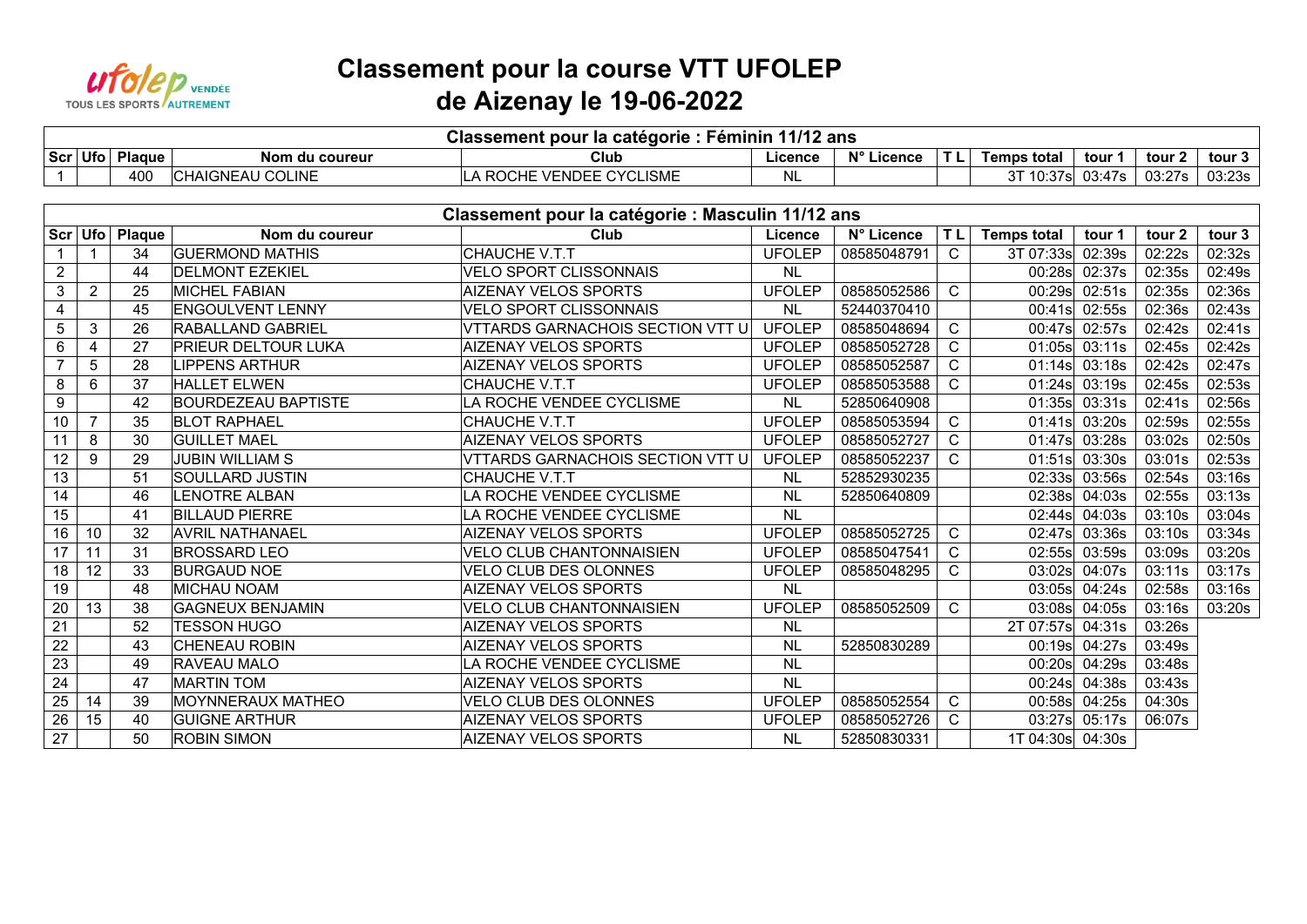

## **Classement pour la course VTT UFOLEP de Aizenay le 19-06-2022**

| Féminin 11/12 ans<br>Classement pour la catégorie : |          |                         |                                                                                               |         |            |     |             |        |                  |        |  |  |  |
|-----------------------------------------------------|----------|-------------------------|-----------------------------------------------------------------------------------------------|---------|------------|-----|-------------|--------|------------------|--------|--|--|--|
| Scr Ufo                                             | Plaque . | Nom du coureur          | Club                                                                                          | Licence | N° Licence | . . | Temps total | tour   | tour .           | tour   |  |  |  |
|                                                     | 400      | I COLINE<br>`HAIGNEAU \ | CVCI<br>_ISME<br><b>VENDEE</b><br>. ROCHE<br>$\mathbf{r}$<br>$\overline{\phantom{0}}$<br>. vl |         |            |     | 10:37s.     | 03:47s | 03.27c<br>∪J.∠ ≀ | 03:23s |  |  |  |

|                | Classement pour la catégorie : Masculin 11/12 ans |               |                            |                                  |               |             |              |                    |                 |        |        |  |  |  |
|----------------|---------------------------------------------------|---------------|----------------------------|----------------------------------|---------------|-------------|--------------|--------------------|-----------------|--------|--------|--|--|--|
| Scr Ufo        |                                                   | <b>Plaque</b> | Nom du coureur             | Club                             | Licence       | N° Licence  | <b>TL</b>    | <b>Temps total</b> | tour 1          | tour 2 | tour 3 |  |  |  |
|                |                                                   | 34            | <b>GUERMOND MATHIS</b>     | CHAUCHE V.T.T                    | <b>UFOLEP</b> | 08585048791 | $\mathsf{C}$ | 3T 07:33s          | 02:39s          | 02:22s | 02:32s |  |  |  |
| $\overline{2}$ |                                                   | 44            | <b>DELMONT EZEKIEL</b>     | <b>VELO SPORT CLISSONNAIS</b>    | <b>NL</b>     |             |              | 00:28s             | 02:37s          | 02:35s | 02:49s |  |  |  |
| 3              | $\overline{2}$                                    | 25            | <b>MICHEL FABIAN</b>       | <b>AIZENAY VELOS SPORTS</b>      | <b>UFOLEP</b> | 08585052586 | C            | 00:29s             | 02:51s          | 02:35s | 02:36s |  |  |  |
| 4              |                                                   | 45            | <b>ENGOULVENT LENNY</b>    | VELO SPORT CLISSONNAIS           | <b>NL</b>     | 52440370410 |              | 00:41s             | 02:55s          | 02:36s | 02:43s |  |  |  |
| 5              | 3                                                 | 26            | RABALLAND GABRIEL          | VTTARDS GARNACHOIS SECTION VTT U | <b>UFOLEP</b> | 08585048694 | C.           | 00:47s             | 02:57s          | 02:42s | 02:41s |  |  |  |
| 6              | 4                                                 | 27            | <b>PRIEUR DELTOUR LUKA</b> | <b>AIZENAY VELOS SPORTS</b>      | <b>UFOLEP</b> | 08585052728 | C.           | 01:05s             | 03:11s          | 02:45s | 02:42s |  |  |  |
| $\overline{7}$ | 5                                                 | 28            | LIPPENS ARTHUR             | <b>AIZENAY VELOS SPORTS</b>      | <b>UFOLEP</b> | 08585052587 | C            | 01:14s             | 03:18s          | 02:42s | 02:47s |  |  |  |
| 8              | 6                                                 | 37            | <b>HALLET ELWEN</b>        | CHAUCHE V.T.T                    | <b>UFOLEP</b> | 08585053588 | C.           |                    | $01:24s$ 03:19s | 02:45s | 02:53s |  |  |  |
| 9              |                                                   | 42            | <b>BOURDEZEAU BAPTISTE</b> | LA ROCHE VENDEE CYCLISME         | <b>NL</b>     | 52850640908 |              | 01:35s             | 03:31s          | 02:41s | 02:56s |  |  |  |
| 10             | $\overline{7}$                                    | 35            | <b>BLOT RAPHAEL</b>        | CHAUCHE V.T.T                    | <b>UFOLEP</b> | 08585053594 | C.           | 01:41s             | 03:20s          | 02:59s | 02:55s |  |  |  |
| 11             | 8                                                 | 30            | <b>GUILLET MAEL</b>        | <b>AIZENAY VELOS SPORTS</b>      | <b>UFOLEP</b> | 08585052727 | C            | 01:47s             | 03:28s          | 03:02s | 02:50s |  |  |  |
| 12             | 9                                                 | 29            | <b>JUBIN WILLIAM S</b>     | VTTARDS GARNACHOIS SECTION VTT U | <b>UFOLEP</b> | 08585052237 | C.           | 01:51s             | 03:30s          | 03:01s | 02:53s |  |  |  |
| 13             |                                                   | 51            | SOULLARD JUSTIN            | <b>CHAUCHE V.T.T</b>             | <b>NL</b>     | 52852930235 |              | 02:33s             | 03:56s          | 02:54s | 03:16s |  |  |  |
| 14             |                                                   | 46            | <b>LENOTRE ALBAN</b>       | LA ROCHE VENDEE CYCLISME         | <b>NL</b>     | 52850640809 |              | 02:38s             | 04:03s          | 02:55s | 03:13s |  |  |  |
| 15             |                                                   | 41            | <b>BILLAUD PIERRE</b>      | LA ROCHE VENDEE CYCLISME         | <b>NL</b>     |             |              |                    | 02:44s 04:03s   | 03:10s | 03:04s |  |  |  |
| 16             | 10                                                | 32            | <b>AVRIL NATHANAEL</b>     | <b>AIZENAY VELOS SPORTS</b>      | <b>UFOLEP</b> | 08585052725 | C.           | 02:47s             | 03:36s          | 03:10s | 03:34s |  |  |  |
| 17             | 11                                                | 31            | <b>BROSSARD LEO</b>        | <b>VELO CLUB CHANTONNAISIEN</b>  | <b>UFOLEP</b> | 08585047541 | С            | 02:55s             | 03:59s          | 03:09s | 03:20s |  |  |  |
| 18             | 12                                                | 33            | <b>BURGAUD NOE</b>         | VELO CLUB DES OLONNES            | <b>UFOLEP</b> | 08585048295 | C            | 03:02s             | 04:07s          | 03:11s | 03:17s |  |  |  |
| 19             |                                                   | 48            | <b>MICHAU NOAM</b>         | <b>AIZENAY VELOS SPORTS</b>      | <b>NL</b>     |             |              | 03:05s             | 04:24s          | 02:58s | 03:16s |  |  |  |
| 20             | 13                                                | 38            | <b>GAGNEUX BENJAMIN</b>    | <b>VELO CLUB CHANTONNAISIEN</b>  | <b>UFOLEP</b> | 08585052509 | C.           | 03:08s             | 04:05s          | 03:16s | 03:20s |  |  |  |
| 21             |                                                   | 52            | <b>TESSON HUGO</b>         | <b>AIZENAY VELOS SPORTS</b>      | <b>NL</b>     |             |              | 2T 07:57s          | 04:31s          | 03:26s |        |  |  |  |
| 22             |                                                   | 43            | <b>CHENEAU ROBIN</b>       | <b>AIZENAY VELOS SPORTS</b>      | <b>NL</b>     | 52850830289 |              | 00:19s             | 04:27s          | 03:49s |        |  |  |  |
| 23             |                                                   | 49            | <b>RAVEAU MALO</b>         | LA ROCHE VENDEE CYCLISME         | <b>NL</b>     |             |              | 00:20s             | 04:29s          | 03:48s |        |  |  |  |
| 24             |                                                   | 47            | <b>MARTIN TOM</b>          | <b>AIZENAY VELOS SPORTS</b>      | <b>NL</b>     |             |              | 00:24s             | 04:38s          | 03:43s |        |  |  |  |
| 25             | 14                                                | 39            | MOYNNERAUX MATHEO          | VELO CLUB DES OLONNES            | <b>UFOLEP</b> | 08585052554 | C.           | 00:58s             | 04:25s          | 04:30s |        |  |  |  |
| 26             | 15                                                | 40            | <b>GUIGNE ARTHUR</b>       | <b>AIZENAY VELOS SPORTS</b>      | <b>UFOLEP</b> | 08585052726 | C            |                    | 03:27s 05:17s   | 06:07s |        |  |  |  |
| 27             |                                                   | 50            | <b>ROBIN SIMON</b>         | <b>AIZENAY VELOS SPORTS</b>      | <b>NL</b>     | 52850830331 |              | 1T 04:30s 04:30s   |                 |        |        |  |  |  |